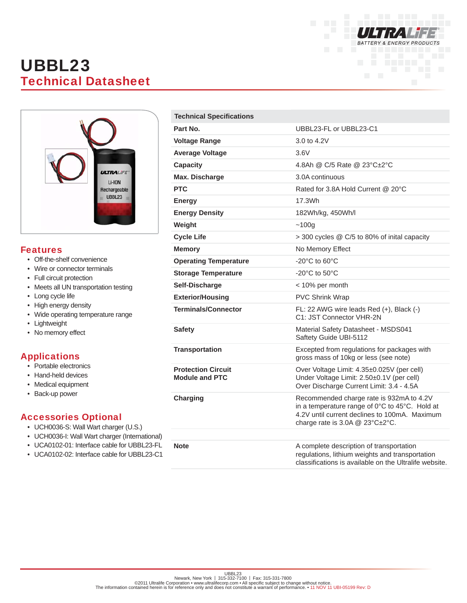

# UBBL23 Technical Datasheet



#### Features

- Off-the-shelf convenience
- Wire or connector terminals
- Full circuit protection
- Meets all UN transportation testing
- Long cycle life
- High energy density
- Wide operating temperature range
- Lightweight
- No memory effect

## Applications

- Portable electronics
- Hand-held devices
- Medical equipment
- Back-up power

### Accessories Optional

- UCH0036-S: Wall Wart charger (U.S.)
- UCH0036-I: Wall Wart charger (International)
- UCA0102-01: Interface cable for UBBL23-FL
- UCA0102-02: Interface cable for UBBL23-C1

| <b>Technical Specifications</b>                    |                                                                                                                                                                                |
|----------------------------------------------------|--------------------------------------------------------------------------------------------------------------------------------------------------------------------------------|
| Part No.                                           | UBBL23-FL or UBBL23-C1                                                                                                                                                         |
| <b>Voltage Range</b>                               | 3.0 to 4.2V                                                                                                                                                                    |
| <b>Average Voltage</b>                             | 3.6V                                                                                                                                                                           |
| <b>Capacity</b>                                    | 4.8Ah @ C/5 Rate @ 23°C±2°C                                                                                                                                                    |
| Max. Discharge                                     | 3.0A continuous                                                                                                                                                                |
| <b>PTC</b>                                         | Rated for 3.8A Hold Current @ 20°C                                                                                                                                             |
| <b>Energy</b>                                      | 17.3Wh                                                                                                                                                                         |
| <b>Energy Density</b>                              | 182Wh/kg, 450Wh/l                                                                                                                                                              |
| Weight                                             | ~100g                                                                                                                                                                          |
| <b>Cycle Life</b>                                  | > 300 cycles @ C/5 to 80% of inital capacity                                                                                                                                   |
| <b>Memory</b>                                      | No Memory Effect                                                                                                                                                               |
| <b>Operating Temperature</b>                       | -20 $^{\circ}$ C to 60 $^{\circ}$ C                                                                                                                                            |
| <b>Storage Temperature</b>                         | $-20^{\circ}$ C to 50 $^{\circ}$ C                                                                                                                                             |
| Self-Discharge                                     | < 10% per month                                                                                                                                                                |
| <b>Exterior/Housing</b>                            | <b>PVC Shrink Wrap</b>                                                                                                                                                         |
| <b>Terminals/Connector</b>                         | FL: 22 AWG wire leads Red (+), Black (-)<br>C1: JST Connector VHR-2N                                                                                                           |
| <b>Safety</b>                                      | Material Safety Datasheet - MSDS041<br>Saftety Guide UBI-5112                                                                                                                  |
| <b>Transportation</b>                              | Excepted from regulations for packages with<br>gross mass of 10kg or less (see note)                                                                                           |
| <b>Protection Circuit</b><br><b>Module and PTC</b> | Over Voltage Limit: 4.35±0.025V (per cell)<br>Under Voltage Limit: 2.50±0.1V (per cell)<br>Over Discharge Current Limit: 3.4 - 4.5A                                            |
| <b>Charging</b>                                    | Recommended charge rate is 932mA to 4.2V<br>in a temperature range of 0°C to 45°C. Hold at<br>4.2V until current declines to 100mA. Maximum<br>charge rate is 3.0A @ 23°C±2°C. |
| <b>Note</b>                                        | A complete description of transportation<br>regulations, lithium weights and transportation<br>classifications is available on the Ultralife website.                          |